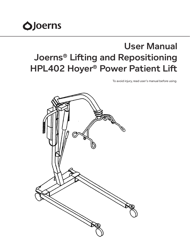

# User Manual Joerns® Lifting and Repositioning HPL402 Hoyer® Power Patient Lift

To avoid injury, read user's manual before using.

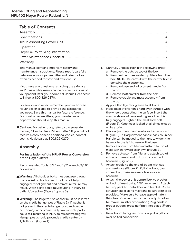# Table of Contents

This manual contains important safety and maintenance instructions. Please read it carefully before using your patient lifter and refer to it as often as needed for safe and efficient use.

If you have any questions regarding the safe use and/or assembly, maintenance or specifications of your patient lifter, you should call Joerns Healthcare toll-free at 800.826.0270.

For service and repair, remember your authorized Hoyer dealer is able to provide the assistance you need. Save this manual for future reference. For non-homecare lifters, your maintenance department should keep this manual.

**A Caution:** For patient use, refer to the separate manual, "How to Use a Patient Lifter." If you did not receive a copy or need additional copies, contact Joerns Healthcare at 800.826.0270.

# Assembly

**For Installation of the HPL-P Power Conversion Kit on Hoyer Lifters**

Recommended Tools: 3/4" and 1/2" wrench, 3/16" hex wrench

**Warning:** All shoulder bolts must engage through the bracket on both sides. If bolt is not fully engaged, misalignment and premature failure may result. Worn parts could fail, resulting in injury to patient/caregiver (Figure 1, page 3).

**Warning:** The large thrust washer must be inserted on the cradle hanger post (Figure 2). If washer is not present, the cradle hanger post and cradle center may wear prematurely. Warn cradle parts could fail, resulting in injury to resident/caregiver. Hanger post should protrude cradle center by 1/16th inch (Figure 1).

- 1. Carefully unpack lifter in the following order:
	- a. Remove the outside top of the box.
	- b. Remove the three inside top fillers from the box. **NOTE:** Be careful with the center filler, it contains the electronics.
	- c. Remove base and adjustment handle from the box.
	- d. Remove bottom filler from the box.
	- e. Remove cradle and mast assembly from the box.
- 2. Apply a thin layer for grease to all bolts.
- 3. Place base of lifter on a hard even surface with the wheels contacting the surface. Insert the mast in sleeve of base making sure that it is fully engaged. Tighten the mask lock bolt (Figure 2). Keep mast locked at all times except while storing.
- 4. Place adjustment handle into socket as shown (Figure 2). Pull adjustment handle back to unlock. Handle can be moved to the right to widen the base or to the left to narrow the base.
- 5. Remove boom from filler and attach to top of mast with hardware as shown (Figure 2).
- 6. Remove actuator from filler and attach top of actuator to mast and bottom to boom with hardware (Figure 2).
- 7. Attach cradle to the end of boom with cap and hardware (Figure 2). Pull vinyl boot over connection, make sure middle rib is over hardware.
- 8. Attach the power unit control box to bracket on back of mast using 1/8" hex wrench. Attach battery pack to control box and bracket. Route actuator cable along mast and secure with clips provided. (Make sure to leave approximately 8-inches of cable prior to the top clip, to allow for maximum lifter articulation.) Plug cords in proper outlets, pressing firmly into place (Figure 5.1)
- 9. Raise boom to highest position, pull vinyl boot over bolted connection.

2 *2*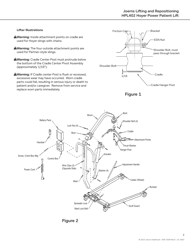#### **Lifter Illustrations**

- **Warning:** Inside attachment points on cradle are used for Hoyer slings with chains.
- **Warning:** The four outside attachment points are used for Partner-style slings.
- **Warning:** Cradle Center Post must protrude below the bottom of the Cradle Center Pivot Assembly (approximately 1/16").
- **Warning:** If Cradle center Post is flush or recessed, excessive wear may have occurred. Worn cradle parts could fail, resulting in serious injury or death to patient and/or caregiver. Remove from service and replace worn parts immediately.







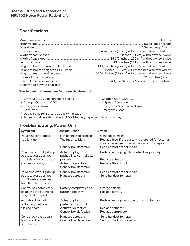# Specifications

| Beechwood powder coat finish |  |
|------------------------------|--|

#### **The following features are found on the Power Unit:**

- Battery: 2-12V Rechargeable Sealed Charge
- Charger Output 24V DC 1 Speed Operation
- 
- 
- LCD Display for Battery Capacity Indication
- Acoustic battery alarm at about 50% battery capacity (0% LCD Display)

## Troubleshooting, Power Unit

| Charger Input 120V AC . |  |  |
|-------------------------|--|--|

- 
- Emergency Down  **Emergency Mechanical down**
- Soft Stop  **Soft Stop** Emergency Stop

| Symptom                                                                                                  | <b>Possible Cause</b>                                                                                         | <b>Action</b>                                                                                                                                                         |
|----------------------------------------------------------------------------------------------------------|---------------------------------------------------------------------------------------------------------------|-----------------------------------------------------------------------------------------------------------------------------------------------------------------------|
| Power indicator does<br>not light up                                                                     | $\cdot$ Not connected to mains<br>$\cdot$ The fuse has blown<br>• Control box defective                       | $\cdot$ Connect to mains<br>• Replace fuse, if the system is prepared for external<br>fuse replacement or send the system for repair<br>• Send control box for repair |
| Power indicator lights up<br>but actuator does not<br>run. Relays in control box<br>are heard clicking.  | • Actuator plug not<br>pushed into control box<br>properly<br>• Actuator defective<br>· Control box defective | • Push actuator plug into control box properly.<br>Replace actuator<br>• Replace the control box                                                                      |
| Power indicator lights up<br>but actuator does not<br>run. No relay noise heard<br>from the control box. | • Control box defective<br>• Handset defective                                                                | · Send control box for repair<br>• Send handset for repair                                                                                                            |
| Control box completely<br>dead on battery and no<br>relay clicking heard.                                | • Battery completely flat<br>• Battery defective                                                              | • Charge battery<br>Replace battery                                                                                                                                   |
| Actuator does not run<br>on battery, but relay<br>clicking heard.                                        | • Actuator plug not<br>pushed into control box<br>• Actuator defective<br>• Control box defective             | • Push actuator plug properly into control box<br>Replace actuator<br>• Replace control box                                                                           |
| Control box okay apart<br>from one direction on<br>one channel                                           | • Handset defective<br>• Control box defective                                                                | • Send handset for repair<br>· Send control box for repair                                                                                                            |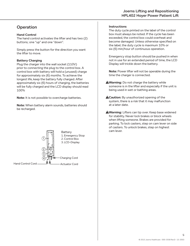## **Operation**

#### **Hand Control**

The hand control activates the lifter and has two (2) buttons; one "up" and one "down".

Simply press the button for the direction you want the lifter to move.

#### **Battery Charging**

Plug the charger into the wall socket (110V) prior to connecting the plug to the control box. A control box with battery will hold a (unused) charge for approximately six (6) months. To achieve the longest life, keep the battery fully charged. After approximately six (6) hours of charging, the batteries will be fully charged and the LCD display should read 100%

**Note:** It is not possible to overcharge batteries.

**Note:** When battery alarm sounds, batteries should be recharged.



#### **Instructions**

The duty cycle printed on the label of the control box must always be noted. If the cycle has been exceeded, the control box could overheat and become damaged. Unless otherwise specified on the label, the duty cycle is maximum 10% or six (6) min/hour of continuous operation.

Emergency stop button should be pushed in when not in use for an extended period of time, the LCD Display will trickle down the battery.

**Note:** Power lifter will not be operable during the time the charger is connected.

- **AWarning:** Do not charge the battery while someone is in the lifter and especially if the unit is being used in wet or bathing areas.
- **A Caution:** By unauthorized opening of the system, there is a risk that it may malfunction at a later date.
- **Warning:** Lifters can tip over. Keep base widened for stability. Never lock brakes or block wheels when lifting someone. Brakes are provided for parking. To lock casters, step on cam lever on side of casters. To unlock brakes, step on highest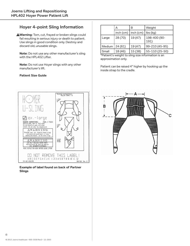# Hoyer 4-point Sling Information

**Warning:** Torn, cut, frayed or broken slings could fail resulting in serious injury or death to patient. Use slings in good condition only. Destroy and discard old, unusable slings.

**Note:** Do not use any other manufacturer's sling with the HPL402 Lifter.

**Note:** Do not use Hoyer slings with any other manufacturer's lift.

#### **Patient Size Guide**



**Example of label found on back of Partner Slings**

|                  | А           | В             | Weight               |
|------------------|-------------|---------------|----------------------|
|                  | $inch$ (cm) | $ $ inch (cm) | lbs (kg)             |
| Large            | 28 (70)     | 19 (47)       | 198-400 (90-<br>191) |
| Medium   24 (61) |             | 19 (47)       | 99-210 (45-95)       |
| Small            | 18 (46)     | 15 (38)       | 55-110 (25-50)       |

\*Patient's weight to sling size information is an approximation only.

Patient can be raised 4" higher by hooking up the inside strap to the cradle.

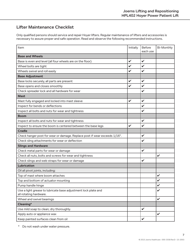## Lifter Maintenance Checklist

Only qualified persons should service and repair Hoyer lifters. Regular maintenance of lifters and accessories is necessary to assure proper and safe operation. Read and observe the following recommended instructions.

| Item                                                                                     | Initially    | <b>Before</b><br>each use | <b>Bi-Monthly</b> |
|------------------------------------------------------------------------------------------|--------------|---------------------------|-------------------|
| <b>Base and Wheels</b>                                                                   |              |                           |                   |
| Base is even and level (all four wheels are on the floor)                                | V            | $\checkmark$              |                   |
| Wheel bolts are tight                                                                    | V            | $\checkmark$              |                   |
| Wheels swivel and roll easily                                                            | V            | $\checkmark$              |                   |
| <b>Base Adjustment</b>                                                                   |              |                           |                   |
| Base locks securely, all parts are present                                               | V            | $\checkmark$              |                   |
| Base opens and closes smoothly                                                           | V            | $\boldsymbol{\nu}$        |                   |
| Check spreader lock and all hardware for wear                                            |              | $\checkmark$              |                   |
| <b>Mast</b>                                                                              |              |                           |                   |
| Mast fully engaged and locked into mast sleeve                                           | V            | $\checkmark$              |                   |
| Inspect for bends or deflections                                                         |              | $\checkmark$              |                   |
| Inspect all bolts and nuts for wear and tightness                                        |              | V                         |                   |
| <b>Boom</b>                                                                              |              |                           |                   |
| Inspect all bolts and nuts for wear and tightness                                        |              | $\checkmark$              |                   |
| Inspect to ensure the boom is centered between the base legs                             | $\checkmark$ | V                         |                   |
| <b>Cradle</b>                                                                            |              |                           |                   |
| Check hanger post for wear or damage. Replace post if wear exceeds 1/16".                |              | $\checkmark$              |                   |
| Check sling attachments for wear or deflection                                           |              | V                         |                   |
| <b>Slings and Hardware</b>                                                               |              |                           |                   |
| Check metal parts for wear or damage                                                     |              | $\checkmark$              |                   |
| Check all nuts, bolts and screws for wear and tightness                                  |              |                           | V                 |
| Check slings and web straps for wear or damage                                           |              | $\checkmark$              |                   |
| <b>Lubrication</b>                                                                       |              |                           |                   |
| Oil all pivot joints, including:                                                         |              |                           |                   |
| Top of mast where boom attaches                                                          |              |                           | V                 |
| Top and bottom of actuator mounting                                                      |              |                           |                   |
| Pump handle hinge                                                                        |              |                           | V                 |
| Use a light grease to lubricate base adjustment lock plate and<br>all rotating hardware. |              |                           | $\checkmark$      |
| Wheel and swivel bearings                                                                |              |                           | $\checkmark$      |
| Cleaning*                                                                                |              |                           |                   |
| Use mild soap to clean; dry thoroughly.                                                  |              | $\checkmark$              |                   |
| Apply auto or appliance wax                                                              |              |                           | $\checkmark$      |
| Keep painted surfaces clean from oil                                                     |              | $\checkmark$              |                   |

\* Do not wash under water pressure.